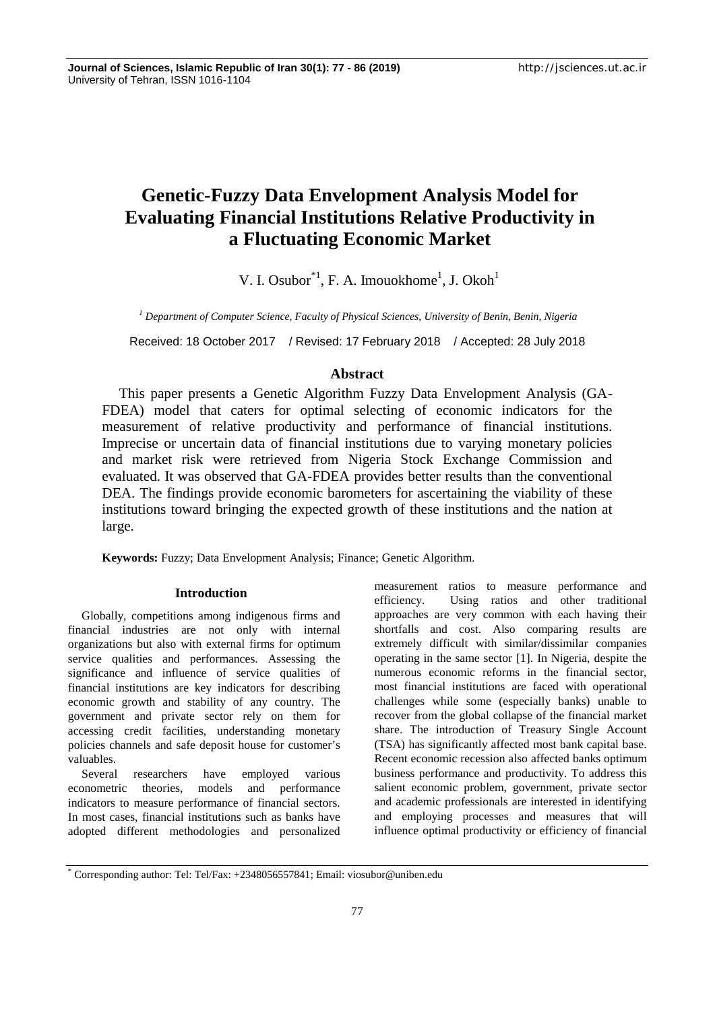# **Genetic-Fuzzy Data Envelopment Analysis Model for Evaluating Financial Institutions Relative Productivity in a Fluctuating Economic Market**

V. I. Osubor<sup>\*1</sup>, F. A. Imouokhome<sup>1</sup>, J. Okoh<sup>1</sup>

*<sup>1</sup> Department of Computer Science, Faculty of Physical Sciences, University of Benin, Benin, Nigeria*

Received: 18 October 2017 / Revised: 17 February 2018 / Accepted: 28 July 2018

# **Abstract**

This paper presents a Genetic Algorithm Fuzzy Data Envelopment Analysis (GA- FDEA) model that caters for optimal selecting of economic indicators for the measurement of relative productivity and performance of financial institutions. Imprecise or uncertain data of financial institutions due to varying monetary policies and market risk were retrieved from Nigeria Stock Exchange Commission and evaluated. It was observed that GA-FDEA provides better results than the conventional DEA. The findings provide economic barometers for ascertaining the viability of these institutions toward bringing the expected growth of these institutions and the nation at large.

**Keywords:** Fuzzy; Data Envelopment Analysis; Finance; Genetic Algorithm.

## **Introduction**

Globally, competitions among indigenous firms and financial industries are not only with internal organizations but also with external firms for optimum service qualities and performances. Assessing the significance and influence of service qualities of financial institutions are key indicators for describing economic growth and stability of any country. The government and private sector rely on them for accessing credit facilities, understanding monetary policies channels and safe deposit house for customer's valuables.

Several researchers have employed various econometric theories, models and performance indicators to measure performance of financial sectors. In most cases, financial institutions such as banks have adopted different methodologies and personalized measurement ratios to measure performance and efficiency. Using ratios and other traditional approaches are very common with each having their shortfalls and cost. Also comparing results are extremely difficult with similar/dissimilar companies operating in the same sector [1]. In Nigeria, despite the numerous economic reforms in the financial sector, most financial institutions are faced with operational challenges while some (especially banks) unable to recover from the global collapse of the financial market share. The introduction of Treasury Single Account (TSA) has significantly affected most bank capital base. Recent economic recession also affected banks optimum business performance and productivity. To address this salient economic problem, government, private sector and academic professionals are interested in identifying and employing processes and measures that will influence optimal productivity or efficiency of financial

<sup>\*</sup> Corresponding author: Tel: Tel/Fax: +2348056557841; Email: viosubor@uniben.edu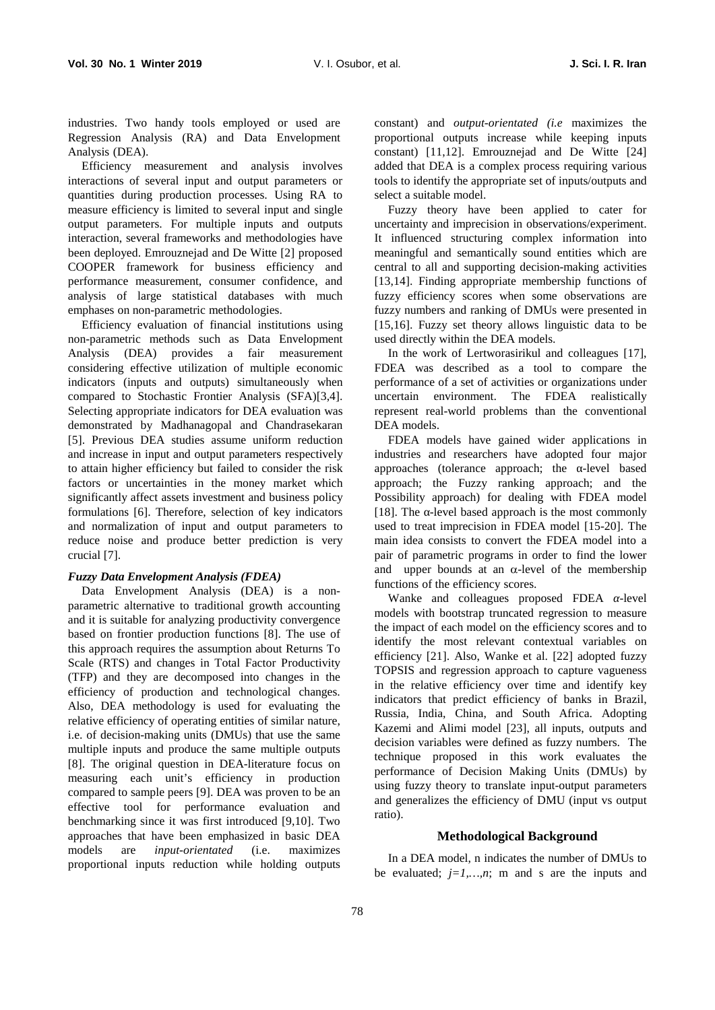industries. Two handy tools employed or used are Regression Analysis (RA) and Data Envelopment Analysis (DEA).

Efficiency measurement and analysis involves interactions of several input and output parameters or quantities during production processes. Using RA to measure efficiency is limited to several input and single output parameters. For multiple inputs and outputs interaction, several frameworks and methodologies have been deployed. Emrouznejad and De Witte [2] proposed COOPER framework for business efficiency and performance measurement, consumer confidence, and analysis of large statistical databases with much emphases on non-parametric methodologies.

Efficiency evaluation of financial institutions using non-parametric methods such as Data Envelopment Analysis (DEA) provides a fair measurement considering effective utilization of multiple economic indicators (inputs and outputs) simultaneously when compared to Stochastic Frontier Analysis (SFA)[3,4]. Selecting appropriate indicators for DEA evaluation was demonstrated by Madhanagopal and Chandrasekaran [5]. Previous DEA studies assume uniform reduction and increase in input and output parameters respectively to attain higher efficiency but failed to consider the risk factors or uncertainties in the money market which significantly affect assets investment and business policy formulations [6]. Therefore, selection of key indicators and normalization of input and output parameters to reduce noise and produce better prediction is very crucial [7].

## *Fuzzy Data Envelopment Analysis (FDEA)*

Data Envelopment Analysis (DEA) is a non parametric alternative to traditional growth accounting and it is suitable for analyzing productivity convergence based on frontier production functions [8]. The use of this approach requires the assumption about Returns To Scale (RTS) and changes in Total Factor Productivity (TFP) and they are decomposed into changes in the efficiency of production and technological changes. Also, DEA methodology is used for evaluating the relative efficiency of operating entities of similar nature, i.e. of decision-making units (DMUs) that use the same multiple inputs and produce the same multiple outputs [8]. The original question in DEA-literature focus on measuring each unit's efficiency in production compared to sample peers [9]. DEA was proven to be an effective tool for performance evaluation and benchmarking since it was first introduced [9,10]. Two approaches that have been emphasized in basic DEA models are *input-orientated* (i.e. maximizes proportional inputs reduction while holding outputs

constant) and *output-orientated (i.e* maximizes the proportional outputs increase while keeping inputs constant) [11,12]. Emrouznejad and De Witte [24] added that DEA is a complex process requiring various tools to identify the appropriate set of inputs/outputs and select a suitable model.

Fuzzy theory have been applied to cater for uncertainty and imprecision in observations/experiment. It influenced structuring complex information into meaningful and semantically sound entities which are central to all and supporting decision-making activities [13,14]. Finding appropriate membership functions of fuzzy efficiency scores when some observations are fuzzy numbers and ranking of DMUs were presented in [15,16]. Fuzzy set theory allows linguistic data to be used directly within the DEA models.

In the work of Lertworasirikul and colleagues [17], FDEA was described as a tool to compare the performance of a set of activities or organizations under uncertain environment. The FDEA realistically represent real-world problems than the conventional DEA models.

FDEA models have gained wider applications in industries and researchers have adopted four major approaches (tolerance approach; the -level based approach; the Fuzzy ranking approach; and the Possibility approach) for dealing with FDEA model [18]. The -level based approach is the most commonly used to treat imprecision in FDEA model [15-20]. The main idea consists to convert the FDEA model into a pair of parametric programs in order to find the lower and upper bounds at an  $\alpha$ -level of the membership functions of the efficiency scores.

Wanke and colleagues proposed FDEA -level models with bootstrap truncated regression to measure the impact of each model on the efficiency scores and to identify the most relevant contextual variables on efficiency [21]. Also, Wanke et al. [22] adopted fuzzy TOPSIS and regression approach to capture vagueness in the relative efficiency over time and identify key indicators that predict efficiency of banks in Brazil, Russia, India, China, and South Africa. Adopting Kazemi and Alimi model [23], all inputs, outputs and decision variables were defined as fuzzy numbers. The technique proposed in this work evaluates the performance of Decision Making Units (DMUs) by using fuzzy theory to translate input-output parameters and generalizes the efficiency of DMU (input vs output ratio).

## **Methodological Background**

In a DEA model, n indicates the number of DMUs to be evaluated;  $j=1,...,n$ ; m and s are the inputs and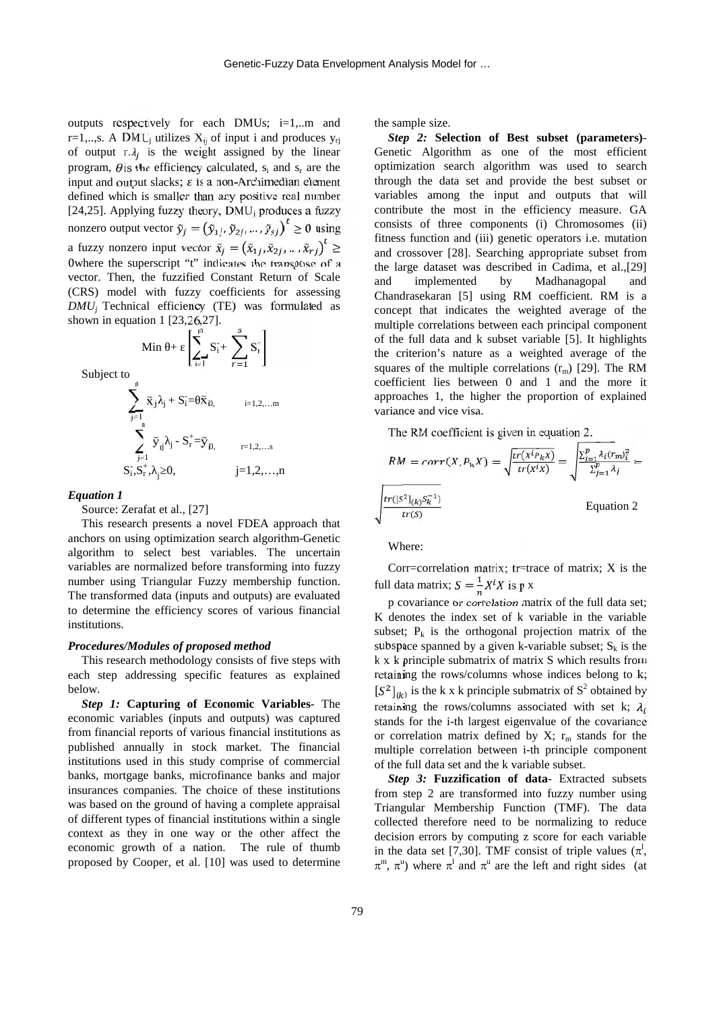outputs respectively for each DMUs; i=1,..m and r=1,..,s. A DMU<sub>i</sub> utilizes  $X_{ij}$  of input i and produces  $y_{ri}$ of output  $r \lambda_i$  is the weight assigned by the linear program,  $\theta$  is the efficiency calculated, s<sub>i</sub> and s<sub>r</sub> are the input and output slacks;  $\varepsilon$  is a non-Archimedian element defined which is smaller than any positive real number [24,25]. Applying fuzzy theory,  $DMU_i$  produces a fuzzy nonzero output vector  $\tilde{y}_j = (\tilde{y}_{1j}, \tilde{y}_{2j}, ..., \tilde{y}_{sj})^t \ge 0$  using a fuzzy nonzero input vector  $\tilde{x}_i = (\tilde{x}_{1i}, \tilde{x}_{2i}, ..., \tilde{x}_{ri})^t \geq$ 0where the superscript "t" indicates the transpose of a vector. Then, the fuzzified Constant Return of Scale (CRS) model with fuzzy coefficients for assessing *DMU<sup>j</sup>* Technical efficiency (TE) was formulated as shown in equation 1 [23,26,27].  $\text{Min} + \left[\sum_{i=1}^{n} S_i + \sum_{i=1}^{s} S_i^+\right]$ 

Subject to

$$
\sum_{j=1}^{n} \tilde{x}_{ij} \hat{i}_{j} + S_{i} = \tilde{x}_{i0}, \qquad i=1,2,...m
$$
  

$$
\sum_{j=1}^{n} \tilde{y}_{ij} + S_{i} = \tilde{x}_{i0}, \qquad i=1,2,...m
$$
  

$$
\sum_{j=1}^{n} \tilde{y}_{ij} + S_{r}^{+} = \tilde{y}_{i0}, \qquad i=1,2,...n
$$
  

$$
S_{i}^{+}, S_{r}^{+}, \qquad 0, \qquad j=1,2,...,n
$$

## *Equation 1*

Source: Zerafat et al., [27]

This research presents a novel FDEA approach that anchors on using optimization search algorithm-Genetic algorithm to select best variables. The uncertain variables are normalized before transforming into fuzzy number using Triangular Fuzzy membership function. The transformed data (inputs and outputs) are evaluated to determine the efficiency scores of various financial institutions.

#### *Procedures/Modules of proposed method*

This research methodology consists of five steps with each step addressing specific features as explained below.

*Step 1:* **Capturing of Economic Variables**- The economic variables (inputs and outputs) was captured from financial reports of various financial institutions as published annually in stock market. The financial institutions used in this study comprise of commercial banks, mortgage banks, microfinance banks and major insurances companies. The choice of these institutions was based on the ground of having a complete appraisal of different types of financial institutions within a single context as they in one way or the other affect the economic growth of a nation. The rule of thumb proposed by Cooper, et al. [10] was used to determine the sample size.

*Step 2:* **Selection of Best subset (parameters)**- Genetic Algorithm as one of the most efficient optimization search algorithm was used to search through the data set and provide the best subset or variables among the input and outputs that will contribute the most in the efficiency measure. GA consists of three components (i) Chromosomes (ii) fitness function and (iii) genetic operators i.e. mutation and crossover [28]. Searching appropriate subset from the large dataset was described in Cadima, et al.,[29] implemented by Madhanagopal and Chandrasekaran [5] using RM coefficient. RM is a concept that indicates the weighted average of the multiple correlations between each principal component of the full data and k subset variable [5]. It highlights the criterion's nature as a weighted average of the squares of the multiple correlations  $(r_m)$  [29]. The RM coefficient lies between 0 and 1 and the more it approaches 1, the higher the proportion of explained variance and vice visa.

The RM coefficient is given in equation 2.

$$
RM = corr(X, P_k X) = \sqrt{\frac{tr(x^{i} P_k X)}{tr(x^{i} X)}} = \sqrt{\frac{\sum_{i=1}^{p} \lambda_i (r_m)^2_i}{\sum_{j=1}^{p} \lambda_j}} = \sqrt{\frac{tr([S^2]_{(k)} S_k^{-1})}{tr(S)}}
$$
 Equation 2

Where:

Corr=correlation matrix; tr=trace of matrix; X is the full data matrix;  $S = \frac{1}{n} X^{i} X$  is p x

p covariance or correlation matrix of the full data set; K denotes the index set of k variable in the variable subset;  $P_k$  is the orthogonal projection matrix of the subspace spanned by a given k-variable subset;  $S_k$  is the k x k principle submatrix of matrix S which results from retaining the rows/columns whose indices belong to k;  $[S^2]_{(k)}$  is the k x k principle submatrix of  $S^2$  obtained by retaining the rows/columns associated with set k;  $\lambda_i$ stands for the i-th largest eigenvalue of the covariance or correlation matrix defined by  $X$ ;  $r_m$  stands for the multiple correlation between i-th principle component of the full data set and the k variable subset.

*Step 3:* **Fuzzification of data**- Extracted subsets from step 2 are transformed into fuzzy number using Triangular Membership Function (TMF). The data collected therefore need to be normalizing to reduce decision errors by computing z score for each variable in the data set [7,30]. TMF consist of triple values  $(\pi^l,$  $\pi^m$ ,  $\pi^u$ ) where  $\pi^l$  and  $\pi^u$  are the left and right sides (at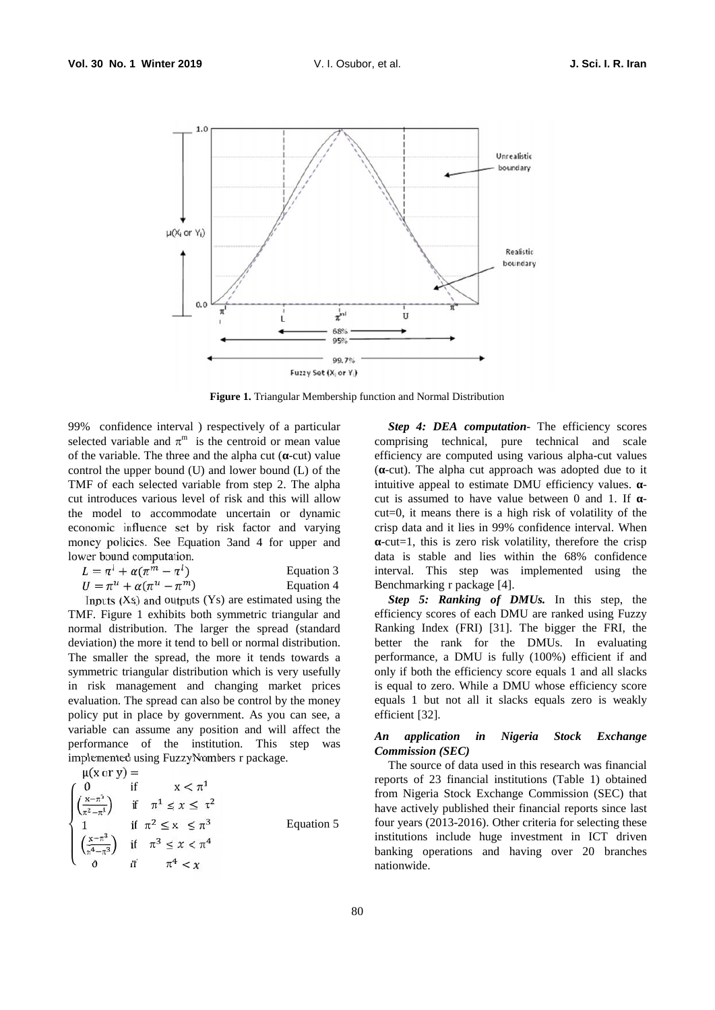

**Figure 1.** Triangular Membership function and Normal Distribution

99% confidence interval ) respectively of a particular selected variable and  $\pi^m$  is the centroid or mean value c of the variable. The three and the alpha cut ( -cut) value control the upper bound (U) and lower bound (L) of the TMF of each selected variable from step 2. The alpha cut introduces various level of risk and this will allow the model to accommodate uncertain or dynamic economic influence set by risk factor and varying money policies. See Equation 3and 4 for upper and lower bound computation.

| $L = \pi^l + \alpha(\pi^m - \pi^l)$ | Equation 3 | ır |
|-------------------------------------|------------|----|
| $U = \pi^u + \alpha(\pi^u - \pi^m)$ | Equation 4 |    |

Inputs  $(Xs)$  and outputs  $(Ys)$  are estimated using the TMF. Figure 1 exhibits both symmetric triangular and normal distribution. The larger the spread (standard deviation) the more it tend to bell or normal distribution. The smaller the spread, the more it tends towards a symmetric triangular distribution which is very usefully in risk management and changing market prices evaluation. The spread can also be control by the money policy put in place by government. As you can see, a variable can assume any position and will affect the performance of the institution. This step was implemented using FuzzyNumbers r package.

 $\mu(x \text{ or } y) =$  $\frac{1}{2}$  0 11  $\left(\pi^4 - \pi^3\right)$  $(X-\pi^3)$  :  $\left(\pi^2 - \pi^1\right)$  $\begin{pmatrix} 0 & \text{if} & x < \pi^1 \\ x - \pi^1 & \text{if} & -1 & \text{if} & -2 \end{pmatrix}$  $\left(\frac{x-\pi}{\pi^2-\pi^1}\right)$  if  $\pi^1 \leq x \leq \pi^2$ 1 if  $\pi^2 \le x \le \pi^3$ <br> $(x-\pi^3)$  is  $x \le x^4$  $\left(\frac{x-\pi}{\pi^4-\pi^3}\right)$  if  $\pi^3 \leq x < \pi^4$ 0 if  $\pi^4 < x$ Equation 5

*Step 4: DEA computation-* The efficiency scores comprising technical, pure technical and scale efficiency are computed using various alpha-cut values ( -cut). The alpha cut approach was adopted due to it intuitive appeal to estimate DMU efficiency values. cut is assumed to have value between 0 and 1. If cut=0, it means there is a high risk of volatility of the crisp data and it lies in 99% confidence interval. When -cut=1, this is zero risk volatility, therefore the crisp data is stable and lies within the 68% confidence interval. This step was implemented using the Benchmarking r package [4].

*Step 5: Ranking of DMUs.* In this step, the efficiency scores of each DMU are ranked using Fuzzy Ranking Index (FRI) [31]. The bigger the FRI, the better the rank for the DMUs. In evaluating performance, a DMU is fully (100%) efficient if and only if both the efficiency score equals 1 and all slacks is equal to zero. While a DMU whose efficiency score equals 1 but not all it slacks equals zero is weakly efficient [32].

## *An application in Nigeria Stock Exchange Commission (SEC)*

The source of data used in this research was financial reports of 23 financial institutions (Table 1) obtained from Nigeria Stock Exchange Commission (SEC) that have actively published their financial reports since last four years (2013-2016). Other criteria for selecting these institutions include huge investment in ICT driven banking operations and having over 20 branches nationwide.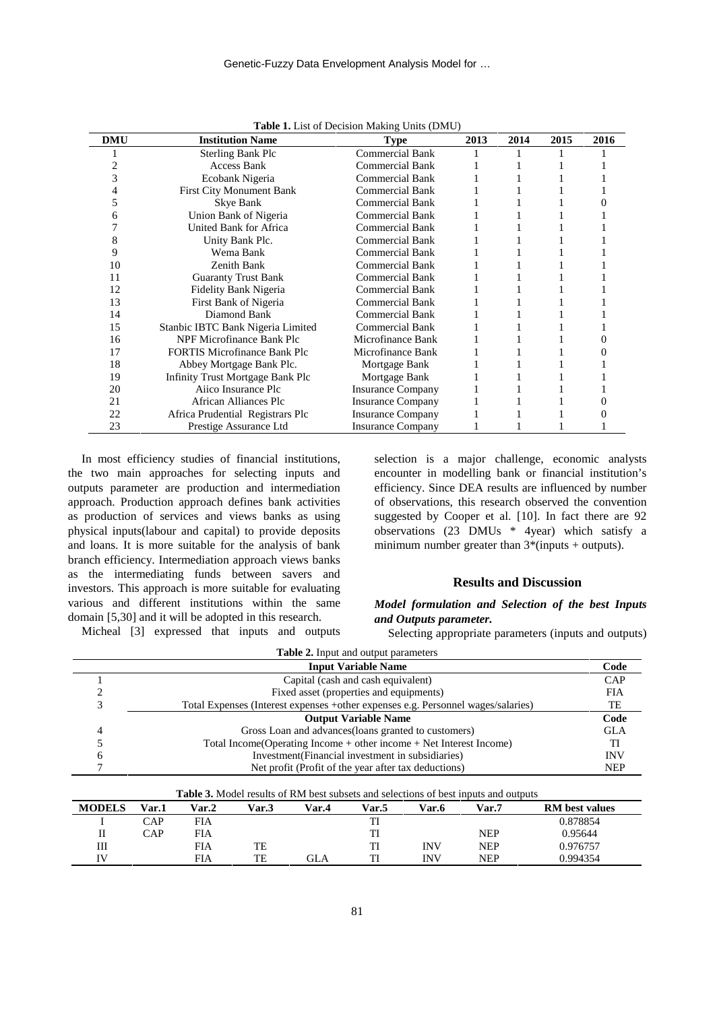| <b>DMU</b> | <b>Institution Name</b>             | <b>Type</b>              | 2013 | 2014 | 2015 | 2016 |
|------------|-------------------------------------|--------------------------|------|------|------|------|
|            | <b>Sterling Bank Plc</b>            | Commercial Bank          |      |      |      |      |
|            | <b>Access Bank</b>                  | <b>Commercial Bank</b>   |      |      |      |      |
|            | Ecobank Nigeria                     | <b>Commercial Bank</b>   |      |      |      |      |
|            | <b>First City Monument Bank</b>     | <b>Commercial Bank</b>   |      |      |      |      |
|            | Skye Bank                           | <b>Commercial Bank</b>   |      |      |      |      |
|            | Union Bank of Nigeria               | <b>Commercial Bank</b>   |      |      |      |      |
|            | United Bank for Africa              | <b>Commercial Bank</b>   |      |      |      |      |
|            | Unity Bank Plc.                     | <b>Commercial Bank</b>   |      |      |      |      |
| 9          | Wema Bank                           | <b>Commercial Bank</b>   |      |      |      |      |
| 10         | Zenith Bank                         | <b>Commercial Bank</b>   |      |      |      |      |
| 11         | <b>Guaranty Trust Bank</b>          | <b>Commercial Bank</b>   |      |      |      |      |
| 12         | Fidelity Bank Nigeria               | <b>Commercial Bank</b>   |      |      |      |      |
| 13         | First Bank of Nigeria               | <b>Commercial Bank</b>   |      |      |      |      |
| 14         | Diamond Bank                        | <b>Commercial Bank</b>   |      |      |      |      |
| 15         | Stanbic IBTC Bank Nigeria Limited   | <b>Commercial Bank</b>   |      |      |      |      |
| 16         | NPF Microfinance Bank Plc           | Microfinance Bank        |      |      |      |      |
| 17         | <b>FORTIS Microfinance Bank Plc</b> | Microfinance Bank        |      |      |      |      |
| 18         | Abbey Mortgage Bank Plc.            | Mortgage Bank            |      |      |      |      |
| 19         | Infinity Trust Mortgage Bank Plc    | Mortgage Bank            |      |      |      |      |
| 20         | Aiico Insurance Plc                 | <b>Insurance Company</b> |      |      |      |      |
| 21         | African Alliances Plc               | <b>Insurance Company</b> |      |      |      |      |
| 22         | Africa Prudential Registrars Plc    | <b>Insurance Company</b> |      |      |      |      |
| 23         | Prestige Assurance Ltd              | <b>Insurance Company</b> |      |      |      |      |

**Table 1.** List of Decision Making Units (DMU)

In most efficiency studies of financial institutions, the two main approaches for selecting inputs and outputs parameter are production and intermediation approach. Production approach defines bank activities as production of services and views banks as using physical inputs(labour and capital) to provide deposits and loans. It is more suitable for the analysis of bank branch efficiency. Intermediation approach views banks as the intermediating funds between savers and investors. This approach is more suitable for evaluating various and different institutions within the same domain [5,30] and it will be adopted in this research.

Micheal [3] expressed that inputs and outputs

selection is a major challenge, economic analysts encounter in modelling bank or financial institution's efficiency. Since DEA results are influenced by number of observations, this research observed the convention suggested by Cooper et al. [10]. In fact there are 92 observations (23 DMUs \* 4year) which satisfy a minimum number greater than  $3*($ inputs + outputs).

## **Results and Discussion**

*Model formulation and Selection of the best Inputs and Outputs parameter.*

Selecting appropriate parameters (inputs and outputs)

| <b>Input Variable Name</b>                                                       | Code       |
|----------------------------------------------------------------------------------|------------|
| Capital (cash and cash equivalent)                                               | CAP        |
| Fixed asset (properties and equipments)                                          | <b>FIA</b> |
| Total Expenses (Interest expenses +other expenses e.g. Personnel wages/salaries) | TЕ         |
| <b>Output Variable Name</b>                                                      | Code       |
| Gross Loan and advances (loans granted to customers)                             | <b>GLA</b> |
| Total Income(Operating Income $+$ other income $+$ Net Interest Income)          |            |
| Investment (Financial investment in subsidiaries)                                | <b>INV</b> |
| Net profit (Profit of the year after tax deductions)                             | <b>NEP</b> |

| <b>MODELS</b> | Var.1 | Var.2      | Var.3 | Var.4 | Var.5 | Var.6 | Var.7      | <b>RM</b> best values |
|---------------|-------|------------|-------|-------|-------|-------|------------|-----------------------|
|               | CAP   | <b>FIA</b> |       |       | m     |       |            | 0.878854              |
|               | CAP   | <b>FIA</b> |       |       | тı    |       | NEP        | 0.95644               |
| Ш             |       | <b>FIA</b> | TE    |       | TI    | INV   | <b>NEP</b> | 0.976757              |
| $\mathbf{H}$  |       | <b>FIA</b> | TE    | GLA   | ויד   | INV   | <b>NEP</b> | 0.994354              |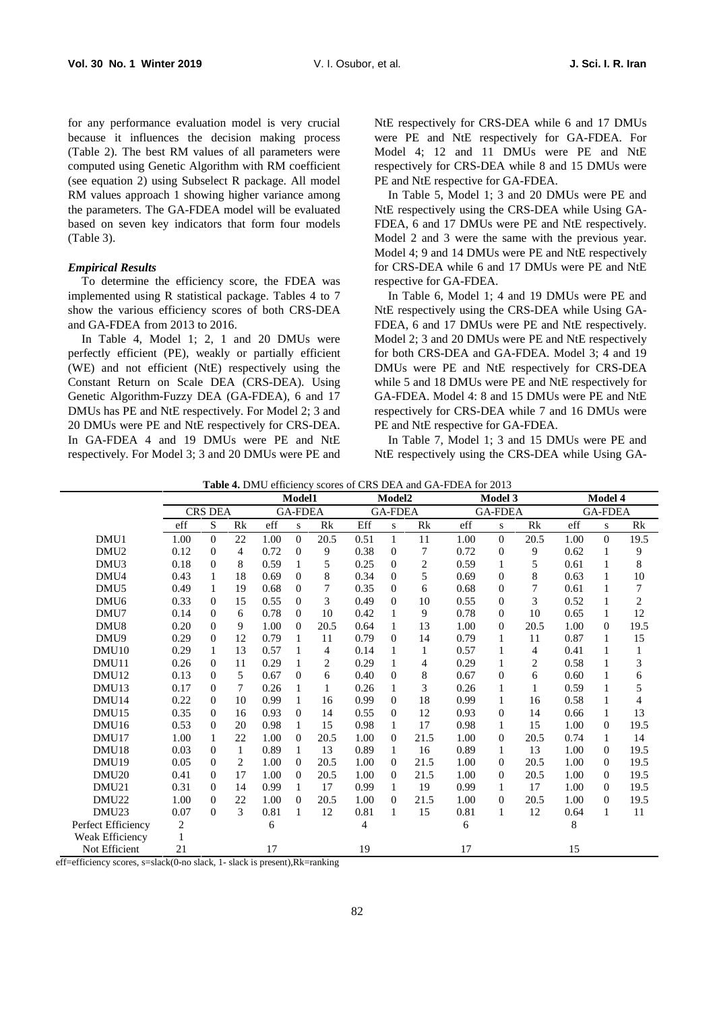for any performance evaluation model is very crucial because it influences the decision making process (Table 2). The best RM values of all parameters were computed using Genetic Algorithm with RM coefficient (see equation 2) using Subselect R package. All model RM values approach 1 showing higher variance among the parameters. The GA-FDEA model will be evaluated based on seven key indicators that form four models (Table 3).

## *Empirical Results*

To determine the efficiency score, the FDEA was implemented using R statistical package. Tables 4 to 7 show the various efficiency scores of both CRS-DEA and GA-FDEA from 2013 to 2016.

In Table 4, Model 1: 2, 1 and 20 DMUs were perfectly efficient (PE), weakly or partially efficient (WE) and not efficient (NtE) respectively using the Constant Return on Scale DEA (CRS-DEA). Using Genetic Algorithm-Fuzzy DEA (GA-FDEA), 6 and 17 DMUs has PE and NtE respectively. For Model 2; 3 and 20 DMUs were PE and NtE respectively for CRS-DEA. In GA-FDEA 4 and 19 DMUs were PE and NtE respectively. For Model 3; 3 and 20 DMUs were PE and

NtE respectively for CRS-DEA while 6 and 17 DMUs were PE and NtE respectively for GA-FDEA. For Model 4; 12 and 11 DMUs were PE and NtE respectively for CRS-DEA while 8 and 15 DMUs were PE and NtE respective for GA-FDEA.

In Table 5, Model 1; 3 and 20 DMUs were PE and NtE respectively using the CRS-DEA while Using GA- FDEA, 6 and 17 DMUs were PE and NtE respectively. Model 2 and 3 were the same with the previous year. Model 4; 9 and 14 DMUs were PE and NtE respectively for CRS-DEA while 6 and 17 DMUs were PE and NtE respective for GA-FDEA.

In Table 6, Model 1; 4 and 19 DMUs were PE and NtE respectively using the CRS-DEA while Using GA- FDEA, 6 and 17 DMUs were PE and NtE respectively. Model 2; 3 and 20 DMUs were PE and NtE respectively for both CRS-DEA and GA-FDEA. Model 3; 4 and 19 DMUs were PE and NtE respectively for CRS-DEA while 5 and 18 DMUs were PE and NtE respectively for GA-FDEA. Model 4: 8 and 15 DMUs were PE and NtE respectively for CRS-DEA while 7 and 16 DMUs were PE and NtE respective for GA-FDEA.

In Table 7, Model 1; 3 and 15 DMUs were PE and NtE respectively using the CRS-DEA while Using GA-

| <b>Table 4.</b> DMU efficiency scores of CRS DEA and GA-FDEA for 2013 |  |
|-----------------------------------------------------------------------|--|
|-----------------------------------------------------------------------|--|

|                    |      |                |              | Model1 |                |                |      | Model2         |                |      | Model 3        |                |      | Model 4        |                |  |
|--------------------|------|----------------|--------------|--------|----------------|----------------|------|----------------|----------------|------|----------------|----------------|------|----------------|----------------|--|
|                    |      | <b>CRS DEA</b> |              |        | <b>GA-FDEA</b> |                |      | <b>GA-FDEA</b> |                |      | <b>GA-FDEA</b> |                |      | <b>GA-FDEA</b> |                |  |
|                    | eff  | S              | Rk           | eff    | S              | Rk             | Eff  | S              | Rk             | eff  | ${\bf S}$      | Rk             | eff  | S              | Rk             |  |
| DMU1               | 1.00 | $\overline{0}$ | 22           | 1.00   | $\Omega$       | 20.5           | 0.51 | $\mathbf{1}$   | 11             | 1.00 | $\theta$       | 20.5           | 1.00 | $\Omega$       | 19.5           |  |
| DMU <sub>2</sub>   | 0.12 | $\Omega$       | 4            | 0.72   | $\Omega$       | 9              | 0.38 | $\Omega$       | 7              | 0.72 | $\theta$       | 9              | 0.62 | 1              | 9              |  |
| DMU <sub>3</sub>   | 0.18 | $\Omega$       | 8            | 0.59   | 1              | 5              | 0.25 | $\Omega$       | $\overline{c}$ | 0.59 | 1              | 5              | 0.61 |                | 8              |  |
| DMU4               | 0.43 | $\mathbf{1}$   | 18           | 0.69   | $\mathbf{0}$   | 8              | 0.34 | $\Omega$       | 5              | 0.69 | $\mathbf{0}$   | 8              | 0.63 |                | 10             |  |
| DMU <sub>5</sub>   | 0.49 | $\mathbf{1}$   | 19           | 0.68   | $\mathbf{0}$   | 7              | 0.35 | $\Omega$       | 6              | 0.68 | $\mathbf{0}$   | 7              | 0.61 |                | 7              |  |
| DMU <sub>6</sub>   | 0.33 | $\overline{0}$ | 15           | 0.55   | $\mathbf{0}$   | 3              | 0.49 | $\Omega$       | 10             | 0.55 | $\mathbf{0}$   | 3              | 0.52 |                | $\overline{c}$ |  |
| DMU7               | 0.14 | $\Omega$       | 6            | 0.78   | $\Omega$       | 10             | 0.42 | 1              | 9              | 0.78 | $\Omega$       | 10             | 0.65 | 1              | 12             |  |
| DMU <sub>8</sub>   | 0.20 | $\Omega$       | 9            | 1.00   | $\Omega$       | 20.5           | 0.64 | 1              | 13             | 1.00 | $\mathbf{0}$   | 20.5           | 1.00 | $\Omega$       | 19.5           |  |
| DMU9               | 0.29 | $\Omega$       | 12           | 0.79   | 1              | 11             | 0.79 | $\Omega$       | 14             | 0.79 | 1              | 11             | 0.87 | 1              | 15             |  |
| DMU10              | 0.29 | $\mathbf{1}$   | 13           | 0.57   | 1              | $\overline{4}$ | 0.14 | 1              | 1              | 0.57 | 1              | $\overline{4}$ | 0.41 |                | 1              |  |
| DMU11              | 0.26 | $\Omega$       | 11           | 0.29   | 1              | $\overline{2}$ | 0.29 | 1              | 4              | 0.29 | 1              | $\overline{c}$ | 0.58 |                | 3              |  |
| DMU <sub>12</sub>  | 0.13 | $\overline{0}$ | 5            | 0.67   | $\Omega$       | 6              | 0.40 | $\Omega$       | 8              | 0.67 | $\mathbf{0}$   | 6              | 0.60 |                | 6              |  |
| DMU <sub>13</sub>  | 0.17 | $\Omega$       | 7            | 0.26   | $\mathbf{1}$   | 1              | 0.26 | 1              | 3              | 0.26 | 1              | 1              | 0.59 |                | 5              |  |
| DMU14              | 0.22 | $\overline{0}$ | 10           | 0.99   | $\mathbf{1}$   | 16             | 0.99 | $\mathbf{0}$   | 18             | 0.99 | 1              | 16             | 0.58 |                | 4              |  |
| DMU <sub>15</sub>  | 0.35 | $\overline{0}$ | 16           | 0.93   | $\theta$       | 14             | 0.55 | $\Omega$       | 12             | 0.93 | $\mathbf{0}$   | 14             | 0.66 | 1              | 13             |  |
| DMU <sub>16</sub>  | 0.53 | $\overline{0}$ | 20           | 0.98   | $\mathbf{1}$   | 15             | 0.98 | 1              | 17             | 0.98 | 1              | 15             | 1.00 | $\Omega$       | 19.5           |  |
| DMU17              | 1.00 | $\mathbf{1}$   | 22           | 1.00   | $\Omega$       | 20.5           | 1.00 | $\Omega$       | 21.5           | 1.00 | $\mathbf{0}$   | 20.5           | 0.74 | 1              | 14             |  |
| DMU <sub>18</sub>  | 0.03 | $\overline{0}$ | $\mathbf{1}$ | 0.89   | $\mathbf{1}$   | 13             | 0.89 | 1              | 16             | 0.89 | 1              | 13             | 1.00 | $\Omega$       | 19.5           |  |
| DMU <sub>19</sub>  | 0.05 | $\Omega$       | 2            | 1.00   | $\theta$       | 20.5           | 1.00 | $\Omega$       | 21.5           | 1.00 | $\mathbf{0}$   | 20.5           | 1.00 | $\Omega$       | 19.5           |  |
| DMU <sub>20</sub>  | 0.41 | $\Omega$       | 17           | 1.00   | $\Omega$       | 20.5           | 1.00 | $\Omega$       | 21.5           | 1.00 | $\Omega$       | 20.5           | 1.00 | $\Omega$       | 19.5           |  |
| DMU21              | 0.31 | $\Omega$       | 14           | 0.99   | $\mathbf{1}$   | 17             | 0.99 | 1              | 19             | 0.99 | 1              | 17             | 1.00 | $\Omega$       | 19.5           |  |
| DMU <sub>22</sub>  | 1.00 | $\overline{0}$ | 22           | 1.00   | $\theta$       | 20.5           | 1.00 | $\Omega$       | 21.5           | 1.00 | $\theta$       | 20.5           | 1.00 | 0              | 19.5           |  |
| DMU <sub>23</sub>  | 0.07 | $\Omega$       | 3            | 0.81   | 1              | 12             | 0.81 | 1              | 15             | 0.81 | 1              | 12             | 0.64 | 1              | 11             |  |
| Perfect Efficiency | 2    |                |              | 6      |                |                | 4    |                |                | 6    |                |                | 8    |                |                |  |
| Weak Efficiency    |      |                |              |        |                |                |      |                |                |      |                |                |      |                |                |  |
| Not Efficient      | 21   |                |              | 17     |                |                | 19   |                |                | 17   |                |                | 15   |                |                |  |

eff=efficiency scores, s=slack(0-no slack, 1- slack is present),Rk=ranking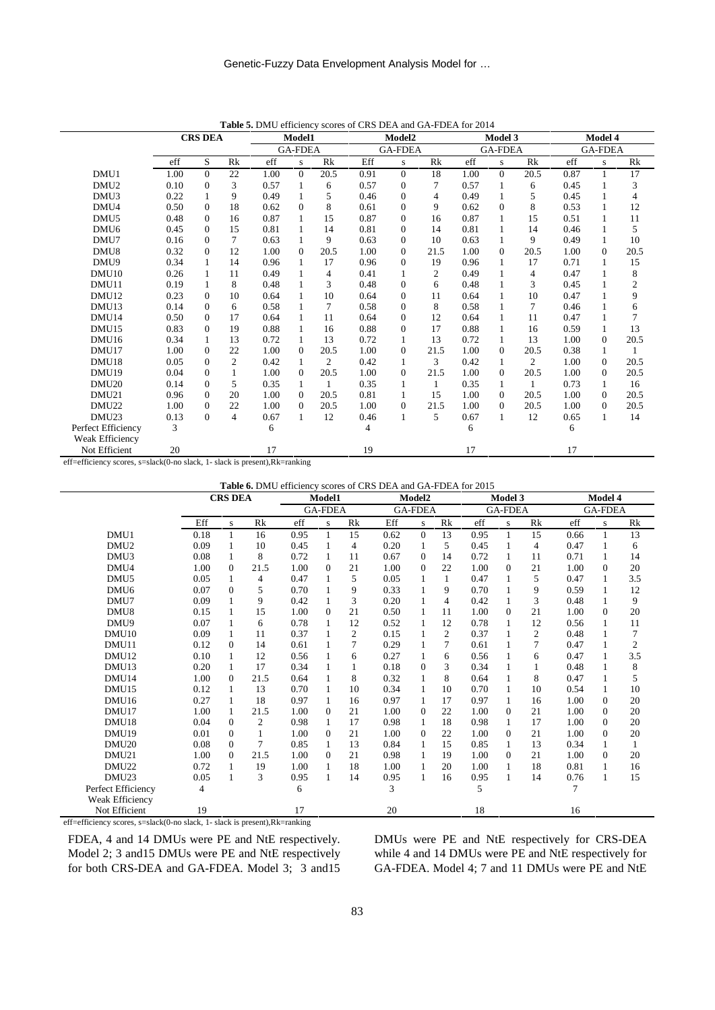|                    |      | <b>CRS DEA</b> |                |      | Model1         |                |      | Model <sub>2</sub> |                |      | Model 3        |                |      | Model 4        |                |
|--------------------|------|----------------|----------------|------|----------------|----------------|------|--------------------|----------------|------|----------------|----------------|------|----------------|----------------|
|                    |      |                |                |      | <b>GA-FDEA</b> |                |      | <b>GA-FDEA</b>     |                |      | <b>GA-FDEA</b> |                |      | <b>GA-FDEA</b> |                |
|                    | eff  | S              | Rk             | eff  | s              | Rk             | Eff  | s                  | Rk             | eff  | s              | Rk             | eff  | S.             | Rk             |
| DMU1               | 1.00 | $\Omega$       | 22             | 1.00 | $\Omega$       | 20.5           | 0.91 | $\Omega$           | 18             | 1.00 | $\Omega$       | 20.5           | 0.87 | $\mathbf{1}$   | 17             |
| DMU <sub>2</sub>   | 0.10 | $\mathbf{0}$   | 3              | 0.57 |                | 6              | 0.57 | $\mathbf{0}$       | 7              | 0.57 | 1              | 6              | 0.45 |                | 3              |
| DMU3               | 0.22 |                | 9              | 0.49 |                | 5              | 0.46 | $\Omega$           | 4              | 0.49 |                | 5              | 0.45 |                | 4              |
| DMU4               | 0.50 | $\mathbf{0}$   | 18             | 0.62 | $\Omega$       | 8              | 0.61 | $\Omega$           | 9              | 0.62 | $\Omega$       | 8              | 0.53 |                | 12             |
| DMU <sub>5</sub>   | 0.48 | $\Omega$       | 16             | 0.87 |                | 15             | 0.87 | $\Omega$           | 16             | 0.87 |                | 15             | 0.51 | 1              | 11             |
| DMU <sub>6</sub>   | 0.45 | $\mathbf{0}$   | 15             | 0.81 |                | 14             | 0.81 | $\mathbf{0}$       | 14             | 0.81 | 1              | 14             | 0.46 | 1              | 5              |
| DMU7               | 0.16 | $\Omega$       | $\tau$         | 0.63 |                | 9              | 0.63 | $\Omega$           | 10             | 0.63 |                | 9              | 0.49 | 1              | 10             |
| DMU8               | 0.32 | $\Omega$       | 12             | 1.00 | $\Omega$       | 20.5           | 1.00 | $\Omega$           | 21.5           | 1.00 | $\theta$       | 20.5           | 1.00 | $\mathbf{0}$   | 20.5           |
| DMU9               | 0.34 |                | 14             | 0.96 |                | 17             | 0.96 | $\Omega$           | 19             | 0.96 |                | 17             | 0.71 |                | 15             |
| DMU <sub>10</sub>  | 0.26 |                | 11             | 0.49 |                | 4              | 0.41 |                    | $\mathfrak{2}$ | 0.49 |                | 4              | 0.47 |                | 8              |
| DMU11              | 0.19 |                | 8              | 0.48 |                | 3              | 0.48 | $\Omega$           | 6              | 0.48 |                | 3              | 0.45 |                | $\overline{c}$ |
| DMU12              | 0.23 | $\Omega$       | 10             | 0.64 |                | 10             | 0.64 | $\Omega$           | 11             | 0.64 |                | 10             | 0.47 |                | 9              |
| DMU <sub>13</sub>  | 0.14 | $\Omega$       | 6              | 0.58 |                | 7              | 0.58 | $\Omega$           | 8              | 0.58 |                | 7              | 0.46 |                | 6              |
| DMU14              | 0.50 | $\Omega$       | 17             | 0.64 |                | 11             | 0.64 | $\Omega$           | 12             | 0.64 |                | 11             | 0.47 |                | $\overline{7}$ |
| DMU <sub>15</sub>  | 0.83 | $\Omega$       | 19             | 0.88 |                | 16             | 0.88 | $\Omega$           | 17             | 0.88 |                | 16             | 0.59 | 1              | 13             |
| DMU16              | 0.34 |                | 13             | 0.72 |                | 13             | 0.72 |                    | 13             | 0.72 | 1              | 13             | 1.00 | $\mathbf{0}$   | 20.5           |
| DMU17              | 1.00 | $\Omega$       | 22             | 1.00 | $\mathbf{0}$   | 20.5           | 1.00 | $\Omega$           | 21.5           | 1.00 | $\Omega$       | 20.5           | 0.38 | 1              |                |
| DMU <sub>18</sub>  | 0.05 | $\Omega$       | $\overline{2}$ | 0.42 |                | $\overline{c}$ | 0.42 |                    | 3              | 0.42 | 1              | $\overline{2}$ | 1.00 | $\mathbf{0}$   | 20.5           |
| DMU19              | 0.04 | $\Omega$       |                | 1.00 | $\Omega$       | 20.5           | 1.00 | $\Omega$           | 21.5           | 1.00 | $\Omega$       | 20.5           | 1.00 | $\mathbf{0}$   | 20.5           |
| DMU <sub>20</sub>  | 0.14 | $\Omega$       | 5              | 0.35 |                | $\mathbf{1}$   | 0.35 |                    | $\mathbf{1}$   | 0.35 | 1              | $\mathbf{1}$   | 0.73 | 1              | 16             |
| DMU21              | 0.96 | $\Omega$       | 20             | 1.00 | $\Omega$       | 20.5           | 0.81 |                    | 15             | 1.00 | $\Omega$       | 20.5           | 1.00 | $\mathbf{0}$   | 20.5           |
| DMU22              | 1.00 | $\Omega$       | 22             | 1.00 | $\Omega$       | 20.5           | 1.00 | $\Omega$           | 21.5           | 1.00 | $\Omega$       | 20.5           | 1.00 | $\mathbf{0}$   | 20.5           |
| DMU <sub>23</sub>  | 0.13 | $\Omega$       | 4              | 0.67 |                | 12             | 0.46 |                    | 5              | 0.67 | 1              | 12             | 0.65 | 1              | 14             |
| Perfect Efficiency | 3    |                |                | 6    |                |                | 4    |                    |                | 6    |                |                | 6    |                |                |
| Weak Efficiency    |      |                |                |      |                |                |      |                    |                |      |                |                |      |                |                |
| Not Efficient      | 20   |                |                | 17   |                |                | 19   |                    |                | 17   |                |                | 17   |                |                |

**Table 5.** DMU efficiency scores of CRS DEA and GA-FDEA for 2014

eff=efficiency scores, s=slack(0-no slack, 1- slack is present),Rk=ranking

**Table 6.** DMU efficiency scores of CRS DEA and GA-FDEA for 2015

|                    |      | <b>CRS DEA</b> |      |      | Model1         |                |      | <b>Model2</b>  |    |      | <b>Model 3</b> |                | <b>Model 4</b> |                |                |
|--------------------|------|----------------|------|------|----------------|----------------|------|----------------|----|------|----------------|----------------|----------------|----------------|----------------|
|                    |      |                |      |      | <b>GA-FDEA</b> |                |      | <b>GA-FDEA</b> |    |      | <b>GA-FDEA</b> |                |                | <b>GA-FDEA</b> |                |
|                    | Eff  | S              | Rk   | eff  | S              | Rk             | Eff  | ${\bf S}$      | Rk | eff  | S              | Rk             | eff            | ${\bf S}$      | Rk             |
| DMU1               | 0.18 | $\mathbf{1}$   | 16   | 0.95 | 1              | 15             | 0.62 | $\Omega$       | 13 | 0.95 | 1              | 15             | 0.66           |                | 13             |
| DMU <sub>2</sub>   | 0.09 | $\mathbf{1}$   | 10   | 0.45 | 1              | 4              | 0.20 |                | 5  | 0.45 | 1              | $\overline{4}$ | 0.47           |                | 6              |
| DMU3               | 0.08 | 1              | 8    | 0.72 | 1              | 11             | 0.67 | $\Omega$       | 14 | 0.72 | 1              | 11             | 0.71           | 1              | 14             |
| DMU4               | 1.00 | $\Omega$       | 21.5 | 1.00 | $\Omega$       | 21             | 1.00 | $\Omega$       | 22 | 1.00 | $\Omega$       | 21             | 1.00           | $\Omega$       | 20             |
| DMU <sub>5</sub>   | 0.05 | 1              | 4    | 0.47 | 1              | 5              | 0.05 |                | 1  | 0.47 | 1              | 5              | 0.47           | 1              | 3.5            |
| DMU <sub>6</sub>   | 0.07 | $\Omega$       | 5    | 0.70 |                | 9              | 0.33 |                | 9  | 0.70 | 1              | 9              | 0.59           |                | 12             |
| DMU7               | 0.09 |                | 9    | 0.42 | 1              | 3              | 0.20 |                | 4  | 0.42 | 1              | 3              | 0.48           | 1              | 9              |
| DMU8               | 0.15 |                | 15   | 1.00 | $\Omega$       | 21             | 0.50 |                | 11 | 1.00 | $\theta$       | 21             | 1.00           | $\mathbf{0}$   | 20             |
| DMU9               | 0.07 |                | 6    | 0.78 | 1              | 12             | 0.52 |                | 12 | 0.78 | 1              | 12             | 0.56           |                | 11             |
| DMU10              | 0.09 | 1              | 11   | 0.37 |                | $\overline{2}$ | 0.15 |                | 2  | 0.37 | 1              | $\overline{2}$ | 0.48           |                | 7              |
| DMU11              | 0.12 | $\Omega$       | 14   | 0.61 |                | 7              | 0.29 |                | 7  | 0.61 | 1              | $\overline{7}$ | 0.47           |                | $\mathfrak{2}$ |
| DMU <sub>12</sub>  | 0.10 |                | 12   | 0.56 |                | 6              | 0.27 |                | 6  | 0.56 | 1              | 6              | 0.47           |                | 3.5            |
| DMU <sub>13</sub>  | 0.20 |                | 17   | 0.34 |                |                | 0.18 | $\Omega$       | 3  | 0.34 | 1              |                | 0.48           |                | 8              |
| DMU14              | 1.00 | $\Omega$       | 21.5 | 0.64 |                | 8              | 0.32 |                | 8  | 0.64 | 1              | 8              | 0.47           |                | 5              |
| DMU <sub>15</sub>  | 0.12 |                | 13   | 0.70 |                | 10             | 0.34 |                | 10 | 0.70 | 1              | 10             | 0.54           |                | 10             |
| DMU <sub>16</sub>  | 0.27 |                | 18   | 0.97 | 1              | 16             | 0.97 |                | 17 | 0.97 | 1              | 16             | 1.00           | $\Omega$       | 20             |
| DMU17              | 1.00 |                | 21.5 | 1.00 | $\theta$       | 21             | 1.00 | $\Omega$       | 22 | 1.00 | $\Omega$       | 21             | 1.00           | $\Omega$       | 20             |
| DMU <sub>18</sub>  | 0.04 | $\Omega$       | 2    | 0.98 | 1              | 17             | 0.98 |                | 18 | 0.98 | 1              | 17             | 1.00           | $\Omega$       | 20             |
| DMU19              | 0.01 | $\mathbf{0}$   | 1    | 1.00 | $\Omega$       | 21             | 1.00 | $\theta$       | 22 | 1.00 | $\mathbf{0}$   | 21             | 1.00           | $\mathbf{0}$   | 20             |
| DMU <sub>20</sub>  | 0.08 | $\Omega$       | 7    | 0.85 | 1              | 13             | 0.84 |                | 15 | 0.85 | 1              | 13             | 0.34           | 1              |                |
| DMU21              | 1.00 | $\Omega$       | 21.5 | 1.00 | $\theta$       | 21             | 0.98 |                | 19 | 1.00 | $\mathbf{0}$   | 21             | 1.00           | $\mathbf{0}$   | 20             |
| DMU22              | 0.72 |                | 19   | 1.00 |                | 18             | 1.00 |                | 20 | 1.00 | 1              | 18             | 0.81           |                | 16             |
| DMU <sub>23</sub>  | 0.05 | $\mathbf{1}$   | 3    | 0.95 | 1              | 14             | 0.95 |                | 16 | 0.95 | 1              | 14             | 0.76           |                | 15             |
| Perfect Efficiency | 4    |                |      | 6    |                |                | 3    |                |    | 5    |                |                | $\overline{7}$ |                |                |
| Weak Efficiency    |      |                |      |      |                |                |      |                |    |      |                |                |                |                |                |
| Not Efficient      | 19   |                |      | 17   |                |                | 20   |                |    | 18   |                |                | 16             |                |                |

eff=efficiency scores, s=slack(0-no slack, 1- slack is present),Rk=ranking

FDEA, 4 and 14 DMUs were PE and NtE respectively. Model 2; 3 and15 DMUs were PE and NtE respectively for both CRS-DEA and GA-FDEA. Model 3; 3 and15 DMUs were PE and NtE respectively for CRS-DEA while 4 and 14 DMUs were PE and NtE respectively for GA-FDEA. Model 4; 7 and 11 DMUs were PE and NtE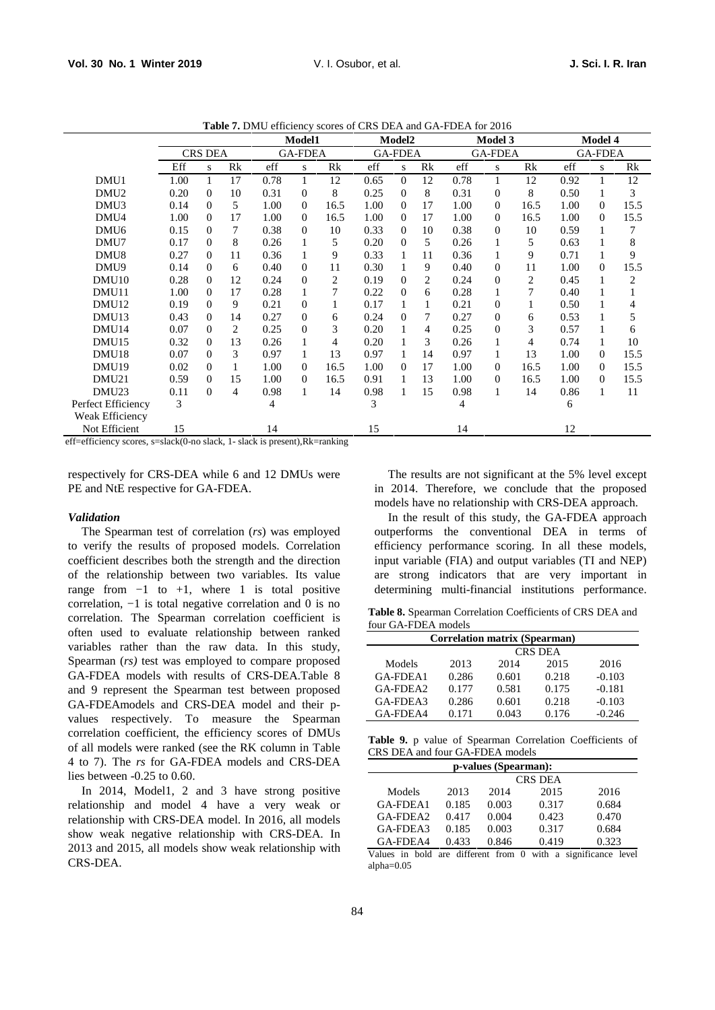|                                              |      | Model1         |    |                |                |      |                | Model <sub>2</sub> |                |                | Model 3        |      | Model 4        |          |      |
|----------------------------------------------|------|----------------|----|----------------|----------------|------|----------------|--------------------|----------------|----------------|----------------|------|----------------|----------|------|
|                                              |      | <b>CRS DEA</b> |    | <b>GA-FDEA</b> |                |      | <b>GA-FDEA</b> |                    |                | <b>GA-FDEA</b> |                |      | <b>GA-FDEA</b> |          |      |
|                                              | Eff  | S              | Rk | eff            | S              | Rk   | eff            | S                  | Rk             | eff            | S.             | Rk   | eff            | S        | Rk   |
| DMU1                                         | 1.00 |                | 17 | 0.78           | 1              | 12   | 0.65           | $\Omega$           | 12             | 0.78           | 1              | 12   | 0.92           |          | 12   |
| DMU <sub>2</sub>                             | 0.20 | $\Omega$       | 10 | 0.31           | $\Omega$       | 8    | 0.25           | $\Omega$           | 8              | 0.31           | $\theta$       | 8    | 0.50           |          | 3    |
| DMU <sub>3</sub>                             | 0.14 | $\Omega$       | 5  | 1.00           | $\overline{0}$ | 16.5 | 1.00           | $\Omega$           | 17             | 1.00           | $\Omega$       | 16.5 | 1.00           | $\Omega$ | 15.5 |
| DMU4                                         | 1.00 | $\Omega$       | 17 | 1.00           | $\overline{0}$ | 16.5 | 1.00           | $\Omega$           | 17             | 1.00           | $\Omega$       | 16.5 | 1.00           | $\Omega$ | 15.5 |
| DMU <sub>6</sub>                             | 0.15 | 0              | 7  | 0.38           | $\Omega$       | 10   | 0.33           | $\Omega$           | 10             | 0.38           | $\Omega$       | 10   | 0.59           |          |      |
| DMU7                                         | 0.17 | $\Omega$       | 8  | 0.26           | 1              | 5    | 0.20           | $\Omega$           | 5              | 0.26           | 1              | 5    | 0.63           |          | 8    |
| DMU <sub>8</sub>                             | 0.27 | $\Omega$       | 11 | 0.36           | 1              | 9    | 0.33           |                    | 11             | 0.36           | 1              | 9    | 0.71           |          | 9    |
| DMU9                                         | 0.14 | 0              | 6  | 0.40           | $\theta$       | 11   | 0.30           |                    | 9              | 0.40           | $\mathbf{0}$   | 11   | 1.00           | $\Omega$ | 15.5 |
| DMU <sub>10</sub>                            | 0.28 | 0              | 12 | 0.24           | $\Omega$       | 2    | 0.19           | $\Omega$           | $\overline{c}$ | 0.24           | $\mathbf{0}$   | 2    | 0.45           |          | 2    |
| DMU11                                        | 1.00 | 0              | 17 | 0.28           |                | 7    | 0.22           | $\Omega$           | 6              | 0.28           | 1              | 7    | 0.40           |          |      |
| DMU <sub>12</sub>                            | 0.19 | $\Omega$       | 9  | 0.21           | $\mathbf{0}$   |      | 0.17           |                    | 1              | 0.21           | $\mathbf{0}$   |      | 0.50           |          | 4    |
| DMU <sub>13</sub>                            | 0.43 | 0              | 14 | 0.27           | $\mathbf{0}$   | 6    | 0.24           | $\Omega$           | 7              | 0.27           | $\overline{0}$ | 6    | 0.53           |          | 5    |
| DMU <sub>14</sub>                            | 0.07 | $\Omega$       | 2  | 0.25           | $\Omega$       | 3    | 0.20           |                    | $\overline{4}$ | 0.25           | $\mathbf{0}$   | 3    | 0.57           |          | 6    |
| DMU <sub>15</sub>                            | 0.32 | 0              | 13 | 0.26           |                | 4    | 0.20           |                    | 3              | 0.26           | 1              | 4    | 0.74           |          | 10   |
| DMU <sub>18</sub>                            | 0.07 | 0              | 3  | 0.97           | 1              | 13   | 0.97           |                    | 14             | 0.97           | 1              | 13   | 1.00           | $\Omega$ | 15.5 |
| DMU19                                        | 0.02 | $\Omega$       | 1  | 1.00           | $\Omega$       | 16.5 | 1.00           | $\Omega$           | 17             | 1.00           | $\Omega$       | 16.5 | 1.00           | 0        | 15.5 |
| DMU21                                        | 0.59 | 0              | 15 | 1.00           | $\theta$       | 16.5 | 0.91           |                    | 13             | 1.00           | $\overline{0}$ | 16.5 | 1.00           | $\Omega$ | 15.5 |
| DMU <sub>23</sub>                            | 0.11 | $\Omega$       | 4  | 0.98           | 1              | 14   | 0.98           | 1                  | 15             | 0.98           | 1              | 14   | 0.86           |          | 11   |
| Perfect Efficiency<br><b>Weak Efficiency</b> | 3    |                |    | 4              |                |      | 3              |                    |                | 4              |                |      | 6              |          |      |
| Not Efficient                                | 15   |                |    | 14             |                |      | 15             |                    |                | 14             |                |      | 12             |          |      |

**Table 7.** DMU efficiency scores of CRS DEA and GA-FDEA for 2016

eff=efficiency scores, s=slack(0-no slack, 1- slack is present),Rk=ranking

respectively for CRS-DEA while 6 and 12 DMUs were PE and NtE respective for GA-FDEA.

#### *Validation*

The Spearman test of correlation (*rs*) was employed to verify the results of proposed models. Correlation coefficient describes both the strength and the direction of the relationship between two variables. Its value range from  $-1$  to  $+1$ , where 1 is total positive correlation, −1 is total negative correlation and 0 is no correlation. The Spearman correlation coefficient is often used to evaluate relationship between ranked variables rather than the raw data. In this study, Spearman (*rs)* test was employed to compare proposed GA-FDEA models with results of CRS-DEA.Table 8 and 9 represent the Spearman test between proposed GA-FDEAmodels and CRS-DEA model and their p values respectively. To measure the Spearman correlation coefficient, the efficiency scores of DMUs of all models were ranked (see the RK column in Table 4 to 7). The *rs* for GA-FDEA models and CRS-DEA lies between -0.25 to 0.60.

In 2014, Model1, 2 and 3 have strong positive relationship and model 4 have a very weak or relationship with CRS-DEA model. In 2016, all models show weak negative relationship with CRS-DEA. In 2013 and 2015, all models show weak relationship with CRS-DEA.

The results are not significant at the 5% level except in 2014. Therefore, we conclude that the proposed models have no relationship with CRS-DEA approach.

In the result of this study, the GA-FDEA approach outperforms the conventional DEA in terms of efficiency performance scoring. In all these models, input variable (FIA) and output variables (TI and NEP) are strong indicators that are very important in determining multi-financial institutions performance.

**Table 8.** Spearman Correlation Coefficients of CRS DEA and four GA-FDEA models

| <b>Correlation matrix (Spearman)</b> |       |       |       |          |  |  |  |  |  |  |  |
|--------------------------------------|-------|-------|-------|----------|--|--|--|--|--|--|--|
| CRS DEA                              |       |       |       |          |  |  |  |  |  |  |  |
| Models                               | 2013  | 2014  | 2015  | 2016     |  |  |  |  |  |  |  |
| GA-FDEA1                             | 0.286 | 0.601 | 0.218 | $-0.103$ |  |  |  |  |  |  |  |
| GA-FDEA2                             | 0.177 | 0.581 | 0.175 | $-0.181$ |  |  |  |  |  |  |  |
| GA-FDEA3                             | 0.286 | 0.601 | 0.218 | $-0.103$ |  |  |  |  |  |  |  |
| GA-FDEA4                             | 0.171 | 0.043 | 0.176 | $-0.246$ |  |  |  |  |  |  |  |

**Table 9.** p value of Spearman Correlation Coefficients of CRS DEA and four GA-FDEA models

| p-values (Spearman): |          |       |       |       |  |  |  |  |  |  |  |
|----------------------|----------|-------|-------|-------|--|--|--|--|--|--|--|
| <b>CRS DEA</b>       |          |       |       |       |  |  |  |  |  |  |  |
| Models               | 2013     | 2014  | 2015  | 2016  |  |  |  |  |  |  |  |
| GA-FDEA1             | 0.185    | 0.003 | 0.317 | 0.684 |  |  |  |  |  |  |  |
| GA-FDEA2             | 0.417    | 0.004 | 0.423 | 0.470 |  |  |  |  |  |  |  |
| GA-FDEA3             | 0.185    | 0.003 | 0.317 | 0.684 |  |  |  |  |  |  |  |
| GA-FDEA4             | 0.433    | 0.846 | 0.419 | 0.323 |  |  |  |  |  |  |  |
| .                    | $\cdots$ |       |       |       |  |  |  |  |  |  |  |

Values in bold are different from 0 with a significance level alpha=0.05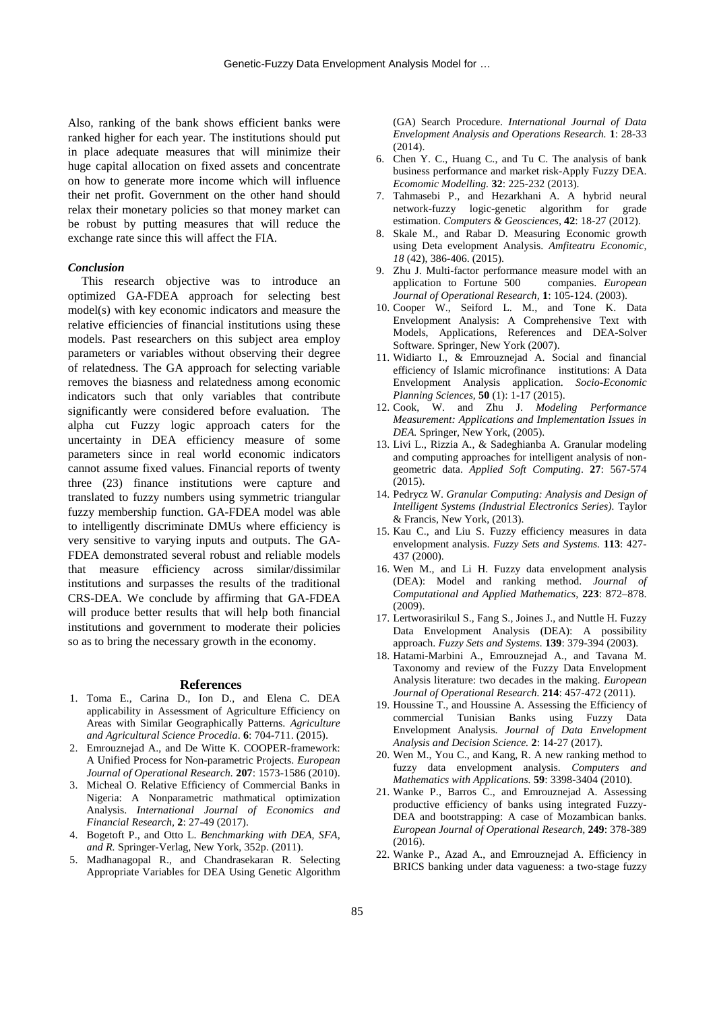Also, ranking of the bank shows efficient banks were ranked higher for each year. The institutions should put in place adequate measures that will minimize their huge capital allocation on fixed assets and concentrate on how to generate more income which will influence their net profit. Government on the other hand should relax their monetary policies so that money market can be robust by putting measures that will reduce the exchange rate since this will affect the FIA.

## *Conclusion*

This research objective was to introduce an optimized GA-FDEA approach for selecting best model(s) with key economic indicators and measure the relative efficiencies of financial institutions using these models. Past researchers on this subject area employ parameters or variables without observing their degree of relatedness. The GA approach for selecting variable removes the biasness and relatedness among economic indicators such that only variables that contribute significantly were considered before evaluation. The alpha cut Fuzzy logic approach caters for the uncertainty in DEA efficiency measure of some parameters since in real world economic indicators cannot assume fixed values. Financial reports of twenty three (23) finance institutions were capture and translated to fuzzy numbers using symmetric triangular fuzzy membership function. GA-FDEA model was able to intelligently discriminate DMUs where efficiency is very sensitive to varying inputs and outputs. The GA- FDEA demonstrated several robust and reliable models that measure efficiency across similar/dissimilar institutions and surpasses the results of the traditional CRS-DEA. We conclude by affirming that GA-FDEA will produce better results that will help both financial institutions and government to moderate their policies so as to bring the necessary growth in the economy.

#### **References**

- 1. Toma E., Carina D., Ion D., and Elena C. DEA applicability in Assessment of Agriculture Efficiency on Areas with Similar Geographically Patterns. *Agriculture and Agricultural Science Procedia*. **6**: 704-711. (2015).
- 2. Emrouznejad A., and De Witte K. COOPER-framework: A Unified Process for Non-parametric Projects. *European Journal of Operational Research.* **207**: 1573-1586 (2010).
- 3. Micheal O. Relative Efficiency of Commercial Banks in Nigeria: A Nonparametric mathmatical optimization Analysis. *International Journal of Economics and Financial Research,* **2**: 27-49 (2017).
- 4. Bogetoft P., and Otto L. *Benchmarking with DEA, SFA, and R.* Springer-Verlag, New York, 352p. (2011).
- 5. Madhanagopal R., and Chandrasekaran R. Selecting Appropriate Variables for DEA Using Genetic Algorithm

(GA) Search Procedure. *International Journal of Data Envelopment Analysis and Operations Research.* **1**: 28-33 (2014).

- 6. Chen Y. C., Huang C., and Tu C. The analysis of bank business performance and market risk-Apply Fuzzy DEA. *Ecomomic Modelling.* **32**: 225-232 (2013).
- 7. Tahmasebi P., and Hezarkhani A. A hybrid neural network-fuzzy logic-genetic algorithm for grade estimation. *Computers & Geosciences,* **42**: 18-27 (2012).
- 8. Skale M., and Rabar D. Measuring Economic growth using Deta evelopment Analysis. *Amfiteatru Economic, 18* (42), 386-406. (2015).
- 9. Zhu J. Multi-factor performance measure model with an application to Fortune 500 companies. *European Journal of Operational Research,* **1**: 105-124. (2003).
- 10. Cooper W., Seiford L. M., and Tone K. Data Envelopment Analysis: A Comprehensive Text with Models, Applications, References and DEA-Solver Software. Springer, New York (2007).
- 11. Widiarto I., & Emrouznejad A. Social and financial efficiency of Islamic microfinance institutions: A Data Envelopment Analysis application. *Socio-Economic Planning Sciences,* **50** (1): 1-17 (2015).
- 12. Cook, W. and Zhu J. *Modeling Performance Measurement: Applications and Implementation Issues in DEA.* Springer, New York, (2005).
- 13. Livi L., Rizzia A., & Sadeghianba A. Granular modeling and computing approaches for intelligent analysis of non geometric data. *Applied Soft Computing*. **27**: 567-574  $(2015)$ .
- 14. Pedrycz W. *Granular Computing: Analysis and Design of Intelligent Systems (Industrial Electronics Series).* Taylor & Francis, New York, (2013).
- 15. Kau C., and Liu S. Fuzzy efficiency measures in data envelopment analysis. *Fuzzy Sets and Systems.* **113**: 427- 437 (2000).
- 16. Wen M., and Li H. Fuzzy data envelopment analysis (DEA): Model and ranking method. *Journal of Computational and Applied Mathematics,* **223**: 872–878. (2009).
- 17. Lertworasirikul S., Fang S., Joines J., and Nuttle H. Fuzzy Data Envelopment Analysis (DEA): A possibility approach. *Fuzzy Sets and Systems.* **139**: 379-394 (2003).
- 18. Hatami-Marbini A., Emrouznejad A., and Tavana M. Taxonomy and review of the Fuzzy Data Envelopment Analysis literature: two decades in the making. *European Journal of Operational Research.* **214**: 457-472 (2011).
- 19. Houssine T., and Houssine A. Assessing the Efficiency of commercial Tunisian Banks using Fuzzy Data Envelopment Analysis. *Journal of Data Envelopment Analysis and Decision Science.* **2**: 14-27 (2017).
- 20. Wen M., You C., and Kang, R. A new ranking method to fuzzy data envelopment analysis. *Computers and Mathematics with Applications.* **59**: 3398-3404 (2010).
- 21. Wanke P., Barros C., and Emrouznejad A. Assessing productive efficiency of banks using integrated Fuzzy- DEA and bootstrapping: A case of Mozambican banks. *European Journal of Operational Research,* **249**: 378-389 (2016).
- 22. Wanke P., Azad A., and Emrouznejad A. Efficiency in BRICS banking under data vagueness: a two-stage fuzzy